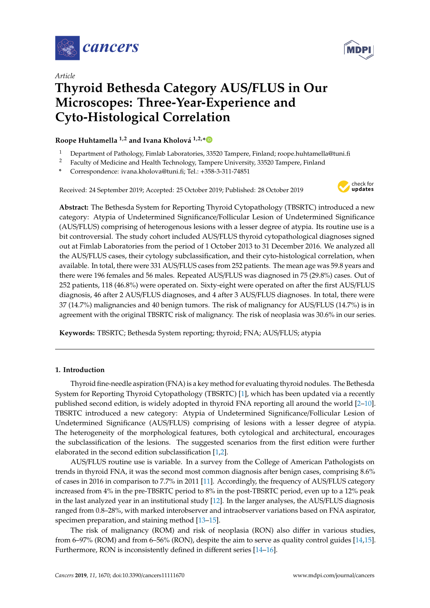



# *Article* **Thyroid Bethesda Category AUS**/**FLUS in Our Microscopes: Three-Year-Experience and Cyto-Histological Correlation**

**Roope Huhtamella 1,2 and Ivana Kholová 1,2,[\\*](https://orcid.org/0000-0003-4089-0450)**

- <sup>1</sup> Department of Pathology, Fimlab Laboratories, 33520 Tampere, Finland; roope.huhtamella@tuni.fi
- <sup>2</sup> Faculty of Medicine and Health Technology, Tampere University, 33520 Tampere, Finland
- **\*** Correspondence: ivana.kholova@tuni.fi; Tel.: +358-3-311-74851

Received: 24 September 2019; Accepted: 25 October 2019; Published: 28 October 2019



**Abstract:** The Bethesda System for Reporting Thyroid Cytopathology (TBSRTC) introduced a new category: Atypia of Undetermined Significance/Follicular Lesion of Undetermined Significance (AUS/FLUS) comprising of heterogenous lesions with a lesser degree of atypia. Its routine use is a bit controversial. The study cohort included AUS/FLUS thyroid cytopathological diagnoses signed out at Fimlab Laboratories from the period of 1 October 2013 to 31 December 2016. We analyzed all the AUS/FLUS cases, their cytology subclassification, and their cyto-histological correlation, when available. In total, there were 331 AUS/FLUS cases from 252 patients. The mean age was 59.8 years and there were 196 females and 56 males. Repeated AUS/FLUS was diagnosed in 75 (29.8%) cases. Out of 252 patients, 118 (46.8%) were operated on. Sixty-eight were operated on after the first AUS/FLUS diagnosis, 46 after 2 AUS/FLUS diagnoses, and 4 after 3 AUS/FLUS diagnoses. In total, there were 37 (14.7%) malignancies and 40 benign tumors. The risk of malignancy for AUS/FLUS (14.7%) is in agreement with the original TBSRTC risk of malignancy. The risk of neoplasia was 30.6% in our series.

**Keywords:** TBSRTC; Bethesda System reporting; thyroid; FNA; AUS/FLUS; atypia

## **1. Introduction**

Thyroid fine-needle aspiration (FNA) is a key method for evaluating thyroid nodules. The Bethesda System for Reporting Thyroid Cytopathology (TBSRTC) [\[1\]](#page-5-0), which has been updated via a recently published second edition, is widely adopted in thyroid FNA reporting all around the world [\[2–](#page-5-1)[10\]](#page-6-0). TBSRTC introduced a new category: Atypia of Undetermined Significance/Follicular Lesion of Undetermined Significance (AUS/FLUS) comprising of lesions with a lesser degree of atypia. The heterogeneity of the morphological features, both cytological and architectural, encourages the subclassification of the lesions. The suggested scenarios from the first edition were further elaborated in the second edition subclassification [\[1,](#page-5-0)[2\]](#page-5-1).

AUS/FLUS routine use is variable. In a survey from the College of American Pathologists on trends in thyroid FNA, it was the second most common diagnosis after benign cases, comprising 8.6% of cases in 2016 in comparison to 7.7% in 2011 [\[11\]](#page-6-1). Accordingly, the frequency of AUS/FLUS category increased from 4% in the pre-TBSRTC period to 8% in the post-TBSRTC period, even up to a 12% peak in the last analyzed year in an institutional study [\[12\]](#page-6-2). In the larger analyses, the AUS/FLUS diagnosis ranged from 0.8–28%, with marked interobserver and intraobserver variations based on FNA aspirator, specimen preparation, and staining method [\[13–](#page-6-3)[15\]](#page-6-4).

The risk of malignancy (ROM) and risk of neoplasia (RON) also differ in various studies, from 6–97% (ROM) and from 6–56% (RON), despite the aim to serve as quality control guides [\[14,](#page-6-5)[15\]](#page-6-4). Furthermore, RON is inconsistently defined in different series [\[14–](#page-6-5)[16\]](#page-6-6).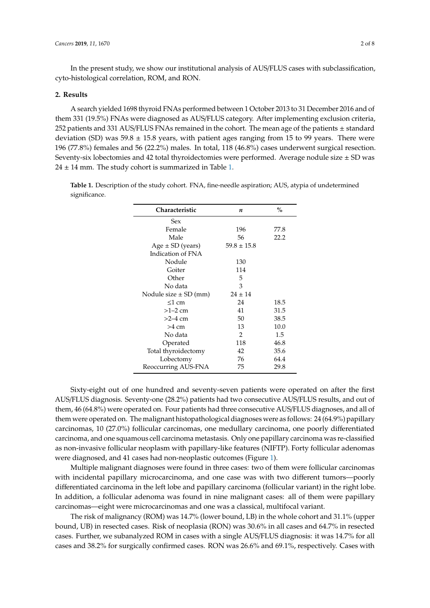In the present study, we show our institutional analysis of AUS/FLUS cases with subclassification, cyto-histological correlation, ROM, and RON.

### **2. Results**

A search yielded 1698 thyroid FNAs performed between 1 October 2013 to 31 December 2016 and of them 331 (19.5%) FNAs were diagnosed as AUS/FLUS category. After implementing exclusion criteria, 252 patients and 331 AUS/FLUS FNAs remained in the cohort. The mean age of the patients  $\pm$  standard deviation (SD) was  $59.8 \pm 15.8$  years, with patient ages ranging from 15 to 99 years. There were 196 (77.8%) females and 56 (22.2%) males. In total, 118 (46.8%) cases underwent surgical resection. Seventy-six lobectomies and 42 total thyroidectomies were performed. Average nodule size  $\pm$  SD was  $24 \pm 14$  mm. The study cohort is summarized in Table [1.](#page-1-0)

<span id="page-1-0"></span>**Table 1.** Description of the study cohort. FNA, fine-needle aspiration; AUS, atypia of undetermined significance.

| Characteristic            | n               | $\%$ |
|---------------------------|-----------------|------|
| Sex                       |                 |      |
| Female                    | 196             | 77.8 |
| Male                      | 56              | 22.2 |
| $Age \pm SD$ (years)      | $59.8 \pm 15.8$ |      |
| Indication of FNA         |                 |      |
| Nodule                    | 130             |      |
| Goiter                    | 114             |      |
| Other                     | 5               |      |
| No data                   | 3               |      |
| Nodule size $\pm$ SD (mm) | $24 \pm 14$     |      |
| $\leq1$ cm                | 24              | 18.5 |
| $>1-2$ cm                 | 41              | 31.5 |
| $>2-4$ cm                 | 50              | 38.5 |
| $>4$ cm                   | 13              | 10.0 |
| No data                   | 2               | 1.5  |
| Operated                  | 118             | 46.8 |
| Total thyroidectomy       | 42              | 35.6 |
| Lobectomy                 | 76              | 64.4 |
| Reoccurring AUS-FNA       | 75              | 29.8 |

Sixty-eight out of one hundred and seventy-seven patients were operated on after the first AUS/FLUS diagnosis. Seventy-one (28.2%) patients had two consecutive AUS/FLUS results, and out of them, 46 (64.8%) were operated on. Four patients had three consecutive AUS/FLUS diagnoses, and all of them were operated on. The malignant histopathological diagnoses were as follows: 24 (64.9%) papillary carcinomas, 10 (27.0%) follicular carcinomas, one medullary carcinoma, one poorly differentiated carcinoma, and one squamous cell carcinoma metastasis. Only one papillary carcinoma was re-classified as non-invasive follicular neoplasm with papillary-like features (NIFTP). Forty follicular adenomas were diagnosed, and 41 cases had non-neoplastic outcomes (Figure [1\)](#page-2-0).

Multiple malignant diagnoses were found in three cases: two of them were follicular carcinomas with incidental papillary microcarcinoma, and one case was with two different tumors—poorly differentiated carcinoma in the left lobe and papillary carcinoma (follicular variant) in the right lobe. In addition, a follicular adenoma was found in nine malignant cases: all of them were papillary carcinomas—eight were microcarcinomas and one was a classical, multifocal variant.

The risk of malignancy (ROM) was 14.7% (lower bound, LB) in the whole cohort and 31.1% (upper bound, UB) in resected cases. Risk of neoplasia (RON) was 30.6% in all cases and 64.7% in resected cases. Further, we subanalyzed ROM in cases with a single AUS/FLUS diagnosis: it was 14.7% for all cases and 38.2% for surgically confirmed cases. RON was 26.6% and 69.1%, respectively. Cases with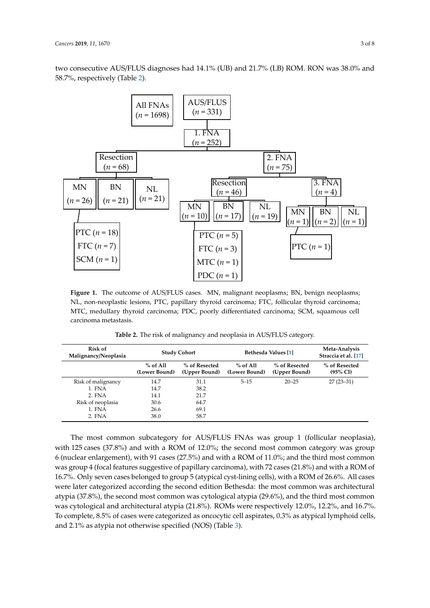two consecutive AUS/FLUS diagnoses had 14.1% (UB) and 21.7% (LB) ROM. RON was 38.0% and 58.7%, respectively (Table [2\)](#page-2-1).

<span id="page-2-0"></span>

MTC, medullary thyroid carcinoma; PDC, poorly differentiated carcinoma; SCM, squamous cell non-neuron-neuron-neuron-neuron-neuron-neuron-neuron-neuron-neuron-neuron-neuron-neuron-neuron-neuron-neuron-n **Figure 1.** The outcome of AUS/FLUS cases. MN, malignant neoplasms; BN, benign neoplasms; NL, non-neoplastic lesions, PTC, papillary thyroid carcinoma; FTC, follicular thyroid carcinoma; carcinoma metastasis.

<span id="page-2-1"></span>

| Table 2. The risk of malignancy and neoplasia in AUS/FLUS category. |  |
|---------------------------------------------------------------------|--|
|---------------------------------------------------------------------|--|

| Risk of<br>Malignancy/Neoplasia | <b>Study Cohort</b>         |                                | Bethesda Values [1]         |                                | Meta-Analysis<br>Straccia et al. [17] |  |
|---------------------------------|-----------------------------|--------------------------------|-----------------------------|--------------------------------|---------------------------------------|--|
|                                 | $%$ of All<br>(Lower Bound) | % of Resected<br>(Upper Bound) | $%$ of All<br>(Lower Bound) | % of Resected<br>(Upper Bound) | % of Resected<br>$(95\% \text{ CI})$  |  |
| Risk of malignancy              | 14.7                        | 31.1                           | $5 - 15$                    | $20 - 25$                      | $27(23-31)$                           |  |
| 1. FNA                          | 14.7                        | 38.2                           |                             |                                |                                       |  |
| 2. FNA                          | 14.1                        | 21.7                           |                             |                                |                                       |  |
| Risk of neoplasia               | 30.6                        | 64.7                           |                             |                                |                                       |  |
| 1. FNA                          | 26.6                        | 69.1                           |                             |                                |                                       |  |
| 2. FNA                          | 38.0                        | 58.7                           |                             |                                |                                       |  |

The most common subcategory for AUS/FLUS FNAs was group 1 (follicular neoplasia), with 125 cases (37.8%) and with a ROM of 12.0%; the second most common category was group  $6$  (nuclear enlargement), with 91 cases (27.5%) and with a ROM of 11.0%; and the third most common 16.7%. Only seven cases belonged to group 5 (atypical cyst-lining cells), with a ROM of 26.6%. All cases were later categorized according the second edition Bethesda: the most common was architectural<br> **RECOLLECT** 2000 PL atypia (37.8%), the second most common was cytological atypia (29.6%), and the third most common were categorized as oncocytic cell aspirates, 0.3%  $l$ erwise specified (NOS) (Table 3) % of was cytological and architectural atypia (21.8%). ROMs were respectively 12.0%, 12.2%, and 16.7%. and 2.1% as atypia not otherwise specified (NOS) (Table [3\)](#page-3-0). To complete, 8.5% of cases were categorized as oncocytic cell aspirates, 0.3% as atypical lymphoid cells,<br>and 2.1% as atypic not otherwise specified (NOS) (Table 3). was group 4 (focal features suggestive of papillary carcinoma), with 72 cases (21.8%) and with a ROM of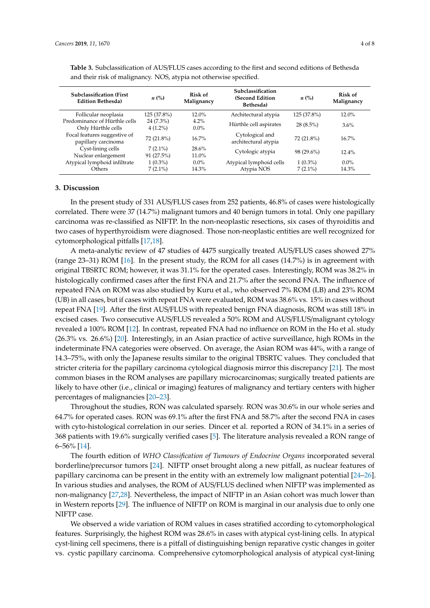| <b>Subclassification (First</b> )<br><b>Edition Bethesda)</b> | $n\ (\%)$    | Risk of<br>Malignancy | Subclassification<br>(Second Edition<br>Bethesda) | $n\ (\%)$   | Risk of<br>Malignancy |
|---------------------------------------------------------------|--------------|-----------------------|---------------------------------------------------|-------------|-----------------------|
| Follicular neoplasia                                          | 125 (37.8%)  | $12.0\%$              | Architectural atypia                              | 125 (37.8%) | $12.0\%$              |
| Predominance of Hürthle cells                                 | $24(7.3\%)$  | $4.2\%$               | Hürthle cell aspirates                            | $28(8.5\%)$ | 3.6%                  |
| Only Hürthle cells                                            | $4(1.2\%)$   | $0.0\%$               |                                                   |             |                       |
| Focal features suggestive of                                  | 72 (21.8%)   | $16.7\%$              | Cytological and                                   | 72 (21.8%)  | $16.7\%$              |
| papillary carcinoma                                           |              |                       | architectural atypia                              |             |                       |
| Cyst-lining cells                                             | $7(2.1\%)$   | 28.6%                 | Cytologic atypia                                  | 98 (29.6%)  | $12.4\%$              |
| Nuclear enlargement                                           | $91(27.5\%)$ | 11.0%                 |                                                   |             |                       |
| Atypical lymphoid infiltrate                                  | $1(0.3\%)$   | $0.0\%$               | Atypical lymphoid cells                           | $1(0.3\%)$  | $0.0\%$               |
| Others                                                        | $7(2.1\%)$   | 14.3%                 | Atypia NOS                                        | $7(2.1\%)$  | 14.3%                 |

<span id="page-3-0"></span>**Table 3.** Subclassification of AUS/FLUS cases according to the first and second editions of Bethesda and their risk of malignancy. NOS, atypia not otherwise specified.

### **3. Discussion**

In the present study of 331 AUS/FLUS cases from 252 patients, 46.8% of cases were histologically correlated. There were 37 (14.7%) malignant tumors and 40 benign tumors in total. Only one papillary carcinoma was re-classified as NIFTP. In the non-neoplastic resections, six cases of thyroiditis and two cases of hyperthyroidism were diagnosed. Those non-neoplastic entities are well recognized for cytomorphological pitfalls [\[17](#page-6-7)[,18\]](#page-6-8).

A meta-analytic review of 47 studies of 4475 surgically treated AUS/FLUS cases showed 27% (range 23–31) ROM [\[16\]](#page-6-6). In the present study, the ROM for all cases (14.7%) is in agreement with original TBSRTC ROM; however, it was 31.1% for the operated cases. Interestingly, ROM was 38.2% in histologically confirmed cases after the first FNA and 21.7% after the second FNA. The influence of repeated FNA on ROM was also studied by Kuru et al., who observed 7% ROM (LB) and 23% ROM (UB) in all cases, but if cases with repeat FNA were evaluated, ROM was 38.6% vs. 15% in cases without repeat FNA [\[19\]](#page-6-9). After the first AUS/FLUS with repeated benign FNA diagnosis, ROM was still 18% in excised cases. Two consecutive AUS/FLUS revealed a 50% ROM and AUS/FLUS/malignant cytology revealed a 100% ROM [\[12\]](#page-6-2). In contrast, repeated FNA had no influence on ROM in the Ho et al. study (26.3% vs. 26.6%) [\[20\]](#page-6-10). Interestingly, in an Asian practice of active surveillance, high ROMs in the indeterminate FNA categories were observed. On average, the Asian ROM was 44%, with a range of 14.3–75%, with only the Japanese results similar to the original TBSRTC values. They concluded that stricter criteria for the papillary carcinoma cytological diagnosis mirror this discrepancy [\[21\]](#page-6-11). The most common biases in the ROM analyses are papillary microcarcinomas; surgically treated patients are likely to have other (i.e., clinical or imaging) features of malignancy and tertiary centers with higher percentages of malignancies [\[20](#page-6-10)[–23\]](#page-6-12).

Throughout the studies, RON was calculated sparsely. RON was 30.6% in our whole series and 64.7% for operated cases. RON was 69.1% after the first FNA and 58.7% after the second FNA in cases with cyto-histological correlation in our series. Dincer et al. reported a RON of 34.1% in a series of 368 patients with 19.6% surgically verified cases [\[5\]](#page-5-2). The literature analysis revealed a RON range of 6–56% [\[14\]](#page-6-5).

The fourth edition of *WHO Classification of Tumours of Endocrine Organs* incorporated several borderline/precursor tumors [\[24\]](#page-6-13). NIFTP onset brought along a new pitfall, as nuclear features of papillary carcinoma can be present in the entity with an extremely low malignant potential [\[24–](#page-6-13)[26\]](#page-6-14). In various studies and analyses, the ROM of AUS/FLUS declined when NIFTP was implemented as non-malignancy [\[27,](#page-6-15)[28\]](#page-6-16). Nevertheless, the impact of NIFTP in an Asian cohort was much lower than in Western reports [\[29\]](#page-7-0). The influence of NIFTP on ROM is marginal in our analysis due to only one NIFTP case.

We observed a wide variation of ROM values in cases stratified according to cytomorphological features. Surprisingly, the highest ROM was 28.6% in cases with atypical cyst-lining cells. In atypical cyst-lining cell specimens, there is a pitfall of distinguishing benign reparative cystic changes in goiter vs. cystic papillary carcinoma. Comprehensive cytomorphological analysis of atypical cyst-lining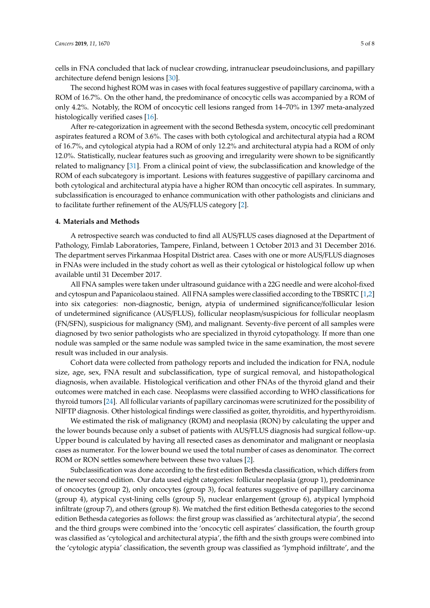cells in FNA concluded that lack of nuclear crowding, intranuclear pseudoinclusions, and papillary architecture defend benign lesions [\[30\]](#page-7-1).

The second highest ROM was in cases with focal features suggestive of papillary carcinoma, with a ROM of 16.7%. On the other hand, the predominance of oncocytic cells was accompanied by a ROM of only 4.2%. Notably, the ROM of oncocytic cell lesions ranged from 14–70% in 1397 meta-analyzed histologically verified cases [\[16\]](#page-6-6).

After re-categorization in agreement with the second Bethesda system, oncocytic cell predominant aspirates featured a ROM of 3.6%. The cases with both cytological and architectural atypia had a ROM of 16.7%, and cytological atypia had a ROM of only 12.2% and architectural atypia had a ROM of only 12.0%. Statistically, nuclear features such as grooving and irregularity were shown to be significantly related to malignancy [\[31\]](#page-7-2). From a clinical point of view, the subclassification and knowledge of the ROM of each subcategory is important. Lesions with features suggestive of papillary carcinoma and both cytological and architectural atypia have a higher ROM than oncocytic cell aspirates. In summary, subclassification is encouraged to enhance communication with other pathologists and clinicians and to facilitate further refinement of the AUS/FLUS category [\[2\]](#page-5-1).

#### **4. Materials and Methods**

A retrospective search was conducted to find all AUS/FLUS cases diagnosed at the Department of Pathology, Fimlab Laboratories, Tampere, Finland, between 1 October 2013 and 31 December 2016. The department serves Pirkanmaa Hospital District area. Cases with one or more AUS/FLUS diagnoses in FNAs were included in the study cohort as well as their cytological or histological follow up when available until 31 December 2017.

All FNA samples were taken under ultrasound guidance with a 22G needle and were alcohol-fixed and cytospun and Papanicolaou stained. All FNA samples were classified according to the TBSRTC [\[1](#page-5-0)[,2\]](#page-5-1) into six categories: non-diagnostic, benign, atypia of undermined significance/follicular lesion of undetermined significance (AUS/FLUS), follicular neoplasm/suspicious for follicular neoplasm (FN/SFN), suspicious for malignancy (SM), and malignant. Seventy-five percent of all samples were diagnosed by two senior pathologists who are specialized in thyroid cytopathology. If more than one nodule was sampled or the same nodule was sampled twice in the same examination, the most severe result was included in our analysis.

Cohort data were collected from pathology reports and included the indication for FNA, nodule size, age, sex, FNA result and subclassification, type of surgical removal, and histopathological diagnosis, when available. Histological verification and other FNAs of the thyroid gland and their outcomes were matched in each case. Neoplasms were classified according to WHO classifications for thyroid tumors [\[24\]](#page-6-13). All follicular variants of papillary carcinomas were scrutinized for the possibility of NIFTP diagnosis. Other histological findings were classified as goiter, thyroiditis, and hyperthyroidism.

We estimated the risk of malignancy (ROM) and neoplasia (RON) by calculating the upper and the lower bounds because only a subset of patients with AUS/FLUS diagnosis had surgical follow-up. Upper bound is calculated by having all resected cases as denominator and malignant or neoplasia cases as numerator. For the lower bound we used the total number of cases as denominator. The correct ROM or RON settles somewhere between these two values [\[2\]](#page-5-1).

Subclassification was done according to the first edition Bethesda classification, which differs from the newer second edition. Our data used eight categories: follicular neoplasia (group 1), predominance of oncocytes (group 2), only oncocytes (group 3), focal features suggestive of papillary carcinoma (group 4), atypical cyst-lining cells (group 5), nuclear enlargement (group 6), atypical lymphoid infiltrate (group 7), and others (group 8). We matched the first edition Bethesda categories to the second edition Bethesda categories as follows: the first group was classified as 'architectural atypia', the second and the third groups were combined into the 'oncocytic cell aspirates' classification, the fourth group was classified as 'cytological and architectural atypia', the fifth and the sixth groups were combined into the 'cytologic atypia' classification, the seventh group was classified as 'lymphoid infiltrate', and the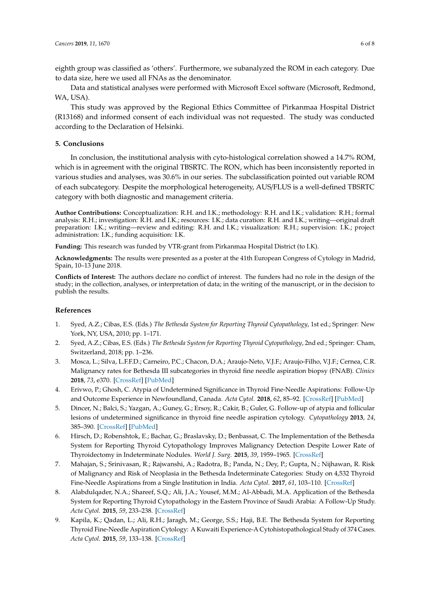eighth group was classified as 'others'. Furthermore, we subanalyzed the ROM in each category. Due to data size, here we used all FNAs as the denominator.

Data and statistical analyses were performed with Microsoft Excel software (Microsoft, Redmond, WA, USA).

This study was approved by the Regional Ethics Committee of Pirkanmaa Hospital District (R13168) and informed consent of each individual was not requested. The study was conducted according to the Declaration of Helsinki.

## **5. Conclusions**

In conclusion, the institutional analysis with cyto-histological correlation showed a 14.7% ROM, which is in agreement with the original TBSRTC. The RON, which has been inconsistently reported in various studies and analyses, was 30.6% in our series. The subclassification pointed out variable ROM of each subcategory. Despite the morphological heterogeneity, AUS/FLUS is a well-defined TBSRTC category with both diagnostic and management criteria.

**Author Contributions:** Conceptualization: R.H. and I.K.; methodology: R.H. and I.K.; validation: R.H.; formal analysis: R.H.; investigation: R.H. and I.K.; resources: I.K.; data curation: R.H. and I.K.; writing—original draft preparation: I.K.; writing—review and editing: R.H. and I.K.; visualization: R.H.; supervision: I.K.; project administration: I.K.; funding acquisition: I.K.

**Funding:** This research was funded by VTR-grant from Pirkanmaa Hospital District (to I.K).

**Acknowledgments:** The results were presented as a poster at the 41th European Congress of Cytology in Madrid, Spain, 10–13 June 2018.

**Conflicts of Interest:** The authors declare no conflict of interest. The funders had no role in the design of the study; in the collection, analyses, or interpretation of data; in the writing of the manuscript, or in the decision to publish the results.

## **References**

- <span id="page-5-0"></span>1. Syed, A.Z.; Cibas, E.S. (Eds.) *The Bethesda System for Reporting Thyroid Cytopathology*, 1st ed.; Springer: New York, NY, USA, 2010; pp. 1–171.
- <span id="page-5-1"></span>2. Syed, A.Z.; Cibas, E.S. (Eds.) *The Bethesda System for Reporting Thyroid Cytopathology*, 2nd ed.; Springer: Cham, Switzerland, 2018; pp. 1–236.
- 3. Mosca, L.; Silva, L.F.F.D.; Carneiro, P.C.; Chacon, D.A.; Araujo-Neto, V.J.F.; Araujo-Filho, V.J.F.; Cernea, C.R. Malignancy rates for Bethesda III subcategories in thyroid fine needle aspiration biopsy (FNAB). *Clinics* **2018**, *73*, e370. [\[CrossRef\]](http://dx.doi.org/10.6061/clinics/2018/e370) [\[PubMed\]](http://www.ncbi.nlm.nih.gov/pubmed/29846414)
- 4. Erivwo, P.; Ghosh, C. Atypia of Undetermined Significance in Thyroid Fine-Needle Aspirations: Follow-Up and Outcome Experience in Newfoundland, Canada. *Acta Cytol.* **2018**, *62*, 85–92. [\[CrossRef\]](http://dx.doi.org/10.1159/000486779) [\[PubMed\]](http://www.ncbi.nlm.nih.gov/pubmed/29486467)
- <span id="page-5-2"></span>5. Dincer, N.; Balci, S.; Yazgan, A.; Guney, G.; Ersoy, R.; Cakir, B.; Guler, G. Follow-up of atypia and follicular lesions of undetermined significance in thyroid fine needle aspiration cytology. *Cytopathology* **2013**, *24*, 385–390. [\[CrossRef\]](http://dx.doi.org/10.1111/cyt.12021) [\[PubMed\]](http://www.ncbi.nlm.nih.gov/pubmed/23078633)
- 6. Hirsch, D.; Robenshtok, E.; Bachar, G.; Braslavsky, D.; Benbassat, C. The Implementation of the Bethesda System for Reporting Thyroid Cytopathology Improves Malignancy Detection Despite Lower Rate of Thyroidectomy in Indeterminate Nodules. *World J. Surg.* **2015**, *39*, 1959–1965. [\[CrossRef\]](http://dx.doi.org/10.1007/s00268-015-3032-6)
- 7. Mahajan, S.; Srinivasan, R.; Rajwanshi, A.; Radotra, B.; Panda, N.; Dey, P.; Gupta, N.; Nijhawan, R. Risk of Malignancy and Risk of Neoplasia in the Bethesda Indeterminate Categories: Study on 4,532 Thyroid Fine-Needle Aspirations from a Single Institution in India. *Acta Cytol.* **2017**, *61*, 103–110. [\[CrossRef\]](http://dx.doi.org/10.1159/000470825)
- 8. Alabdulqader, N.A.; Shareef, S.Q.; Ali, J.A.; Yousef, M.M.; Al-Abbadi, M.A. Application of the Bethesda System for Reporting Thyroid Cytopathology in the Eastern Province of Saudi Arabia: A Follow-Up Study. *Acta Cytol.* **2015**, *59*, 233–238. [\[CrossRef\]](http://dx.doi.org/10.1159/000430803)
- 9. Kapila, K.; Qadan, L.; Ali, R.H.; Jaragh, M.; George, S.S.; Haji, B.E. The Bethesda System for Reporting Thyroid Fine-Needle Aspiration Cytology: A Kuwaiti Experience-A Cytohistopathological Study of 374 Cases. *Acta Cytol.* **2015**, *59*, 133–138. [\[CrossRef\]](http://dx.doi.org/10.1159/000371538)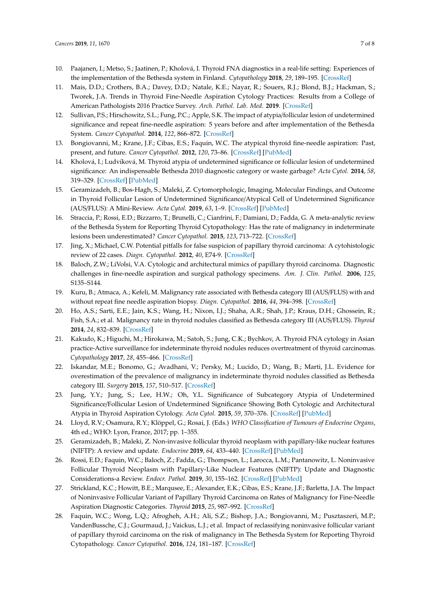- <span id="page-6-0"></span>10. Paajanen, I.; Metso, S.; Jaatinen, P.; Kholová, I. Thyroid FNA diagnostics in a real-life setting: Experiences of the implementation of the Bethesda system in Finland. *Cytopathology* **2018**, *29*, 189–195. [\[CrossRef\]](http://dx.doi.org/10.1111/cyt.12513)
- <span id="page-6-1"></span>11. Mais, D.D.; Crothers, B.A.; Davey, D.D.; Natale, K.E.; Nayar, R.; Souers, R.J.; Blond, B.J.; Hackman, S.; Tworek, J.A. Trends in Thyroid Fine-Needle Aspiration Cytology Practices: Results from a College of American Pathologists 2016 Practice Survey. *Arch. Pathol. Lab. Med.* **2019**. [\[CrossRef\]](http://dx.doi.org/10.5858/arpa.2018-0429-CP)
- <span id="page-6-2"></span>12. Sullivan, P.S.; Hirschowitz, S.L.; Fung, P.C.; Apple, S.K. The impact of atypia/follicular lesion of undetermined significance and repeat fine-needle aspiration: 5 years before and after implementation of the Bethesda System. *Cancer Cytopathol.* **2014**, *122*, 866–872. [\[CrossRef\]](http://dx.doi.org/10.1002/cncy.21468)
- <span id="page-6-3"></span>13. Bongiovanni, M.; Krane, J.F.; Cibas, E.S.; Faquin, W.C. The atypical thyroid fine-needle aspiration: Past, present, and future. *Cancer Cytopathol.* **2012**, *120*, 73–86. [\[CrossRef\]](http://dx.doi.org/10.1002/cncy.20178) [\[PubMed\]](http://www.ncbi.nlm.nih.gov/pubmed/21751429)
- <span id="page-6-5"></span>14. Kholová, I.; Ludvíková, M. Thyroid atypia of undetermined significance or follicular lesion of undetermined significance: An indispensable Bethesda 2010 diagnostic category or waste garbage? *Acta Cytol.* **2014**, *58*, 319–329. [\[CrossRef\]](http://dx.doi.org/10.1159/000366498) [\[PubMed\]](http://www.ncbi.nlm.nih.gov/pubmed/25195864)
- <span id="page-6-4"></span>15. Geramizadeh, B.; Bos-Hagh, S.; Maleki, Z. Cytomorphologic, Imaging, Molecular Findings, and Outcome in Thyroid Follicular Lesion of Undetermined Significance/Atypical Cell of Undetermined Significance (AUS/FLUS): A Mini-Review. *Acta Cytol.* **2019**, *63*, 1–9. [\[CrossRef\]](http://dx.doi.org/10.1159/000493908) [\[PubMed\]](http://www.ncbi.nlm.nih.gov/pubmed/30380529)
- <span id="page-6-6"></span>16. Straccia, P.; Rossi, E.D.; Bizzarro, T.; Brunelli, C.; Cianfrini, F.; Damiani, D.; Fadda, G. A meta-analytic review of the Bethesda System for Reporting Thyroid Cytopathology: Has the rate of malignancy in indeterminate lesions been underestimated? *Cancer Cytopathol.* **2015**, *123*, 713–722. [\[CrossRef\]](http://dx.doi.org/10.1002/cncy.21605)
- <span id="page-6-7"></span>17. Jing, X.; Michael, C.W. Potential pitfalls for false suspicion of papillary thyroid carcinoma: A cytohistologic review of 22 cases. *Diagn. Cytopathol.* **2012**, *40*, E74-9. [\[CrossRef\]](http://dx.doi.org/10.1002/dc.21726)
- <span id="page-6-8"></span>18. Baloch, Z.W.; LiVolsi, V.A. Cytologic and architectural mimics of papillary thyroid carcinoma. Diagnostic challenges in fine-needle aspiration and surgical pathology specimens. *Am. J. Clin. Pathol.* **2006**, *125*, S135–S144.
- <span id="page-6-9"></span>19. Kuru, B.; Atmaca, A.; Kefeli, M. Malignancy rate associated with Bethesda category III (AUS/FLUS) with and without repeat fine needle aspiration biopsy. *Diagn. Cytopathol.* **2016**, *44*, 394–398. [\[CrossRef\]](http://dx.doi.org/10.1002/dc.23456)
- <span id="page-6-10"></span>20. Ho, A.S.; Sarti, E.E.; Jain, K.S.; Wang, H.; Nixon, I.J.; Shaha, A.R.; Shah, J.P.; Kraus, D.H.; Ghossein, R.; Fish, S.A.; et al. Malignancy rate in thyroid nodules classified as Bethesda category III (AUS/FLUS). *Thyroid* **2014**, *24*, 832–839. [\[CrossRef\]](http://dx.doi.org/10.1089/thy.2013.0317)
- <span id="page-6-11"></span>21. Kakudo, K.; Higuchi, M.; Hirokawa, M.; Satoh, S.; Jung, C.K.; Bychkov, A. Thyroid FNA cytology in Asian practice-Active surveillance for indeterminate thyroid nodules reduces overtreatment of thyroid carcinomas. *Cytopathology* **2017**, *28*, 455–466. [\[CrossRef\]](http://dx.doi.org/10.1111/cyt.12491)
- 22. Iskandar, M.E.; Bonomo, G.; Avadhani, V.; Persky, M.; Lucido, D.; Wang, B.; Marti, J.L. Evidence for overestimation of the prevalence of malignancy in indeterminate thyroid nodules classified as Bethesda category III. *Surgery* **2015**, *157*, 510–517. [\[CrossRef\]](http://dx.doi.org/10.1016/j.surg.2014.10.004)
- <span id="page-6-12"></span>23. Jung, Y.Y.; Jung, S.; Lee, H.W.; Oh, Y.L. Significance of Subcategory Atypia of Undetermined Significance/Follicular Lesion of Undetermined Significance Showing Both Cytologic and Architectural Atypia in Thyroid Aspiration Cytology. *Acta Cytol.* **2015**, *59*, 370–376. [\[CrossRef\]](http://dx.doi.org/10.1159/000441136) [\[PubMed\]](http://www.ncbi.nlm.nih.gov/pubmed/26529329)
- <span id="page-6-13"></span>24. Lloyd, R.V.; Osamura, R.Y.; Klöppel, G.; Rosai, J. (Eds.) *WHO Classification of Tumours of Endocrine Organs*, 4th ed.; WHO: Lyon, France, 2017; pp. 1–355.
- 25. Geramizadeh, B.; Maleki, Z. Non-invasive follicular thyroid neoplasm with papillary-like nuclear features (NIFTP): A review and update. *Endocrine* **2019**, *64*, 433–440. [\[CrossRef\]](http://dx.doi.org/10.1007/s12020-019-01887-z) [\[PubMed\]](http://www.ncbi.nlm.nih.gov/pubmed/30868412)
- <span id="page-6-14"></span>26. Rossi, E.D.; Faquin, W.C.; Baloch, Z.; Fadda, G.; Thompson, L.; Larocca, L.M.; Pantanowitz, L. Noninvasive Follicular Thyroid Neoplasm with Papillary-Like Nuclear Features (NIFTP): Update and Diagnostic Considerations-a Review. *Endocr. Pathol.* **2019**, *30*, 155–162. [\[CrossRef\]](http://dx.doi.org/10.1007/s12022-019-9574-7) [\[PubMed\]](http://www.ncbi.nlm.nih.gov/pubmed/30953289)
- <span id="page-6-15"></span>27. Strickland, K.C.; Howitt, B.E.; Marqusee, E.; Alexander, E.K.; Cibas, E.S.; Krane, J.F.; Barletta, J.A. The Impact of Noninvasive Follicular Variant of Papillary Thyroid Carcinoma on Rates of Malignancy for Fine-Needle Aspiration Diagnostic Categories. *Thyroid* **2015**, *25*, 987–992. [\[CrossRef\]](http://dx.doi.org/10.1089/thy.2014.0612)
- <span id="page-6-16"></span>28. Faquin, W.C.; Wong, L.Q.; Afrogheh, A.H.; Ali, S.Z.; Bishop, J.A.; Bongiovanni, M.; Pusztaszeri, M.P.; VandenBussche, C.J.; Gourmaud, J.; Vaickus, L.J.; et al. Impact of reclassifying noninvasive follicular variant of papillary thyroid carcinoma on the risk of malignancy in The Bethesda System for Reporting Thyroid Cytopathology. *Cancer Cytopathol.* **2016**, *124*, 181–187. [\[CrossRef\]](http://dx.doi.org/10.1002/cncy.21631)